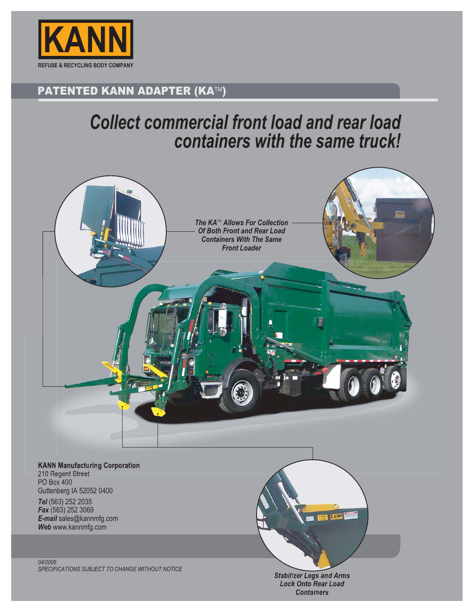

### PATENTED KANN ADAPTER (KA™)

## *Collect commercial front load and rear load containers with the same truck!*



210 Regent Street PO Box 400 Guttenberg IA 52052 0400 *Tel* (563) 252 2035 *Fax* (563) 252 3069 *E-mail* sales@kannmfg.com *Web* www.kannmfg.com

*04/2006 SPECIFICATIONS SUBJECT TO CHANGE WITHOUT NOTICE*

*Stabilizer Legs and Arms Lock Onto Rear Load Containers*